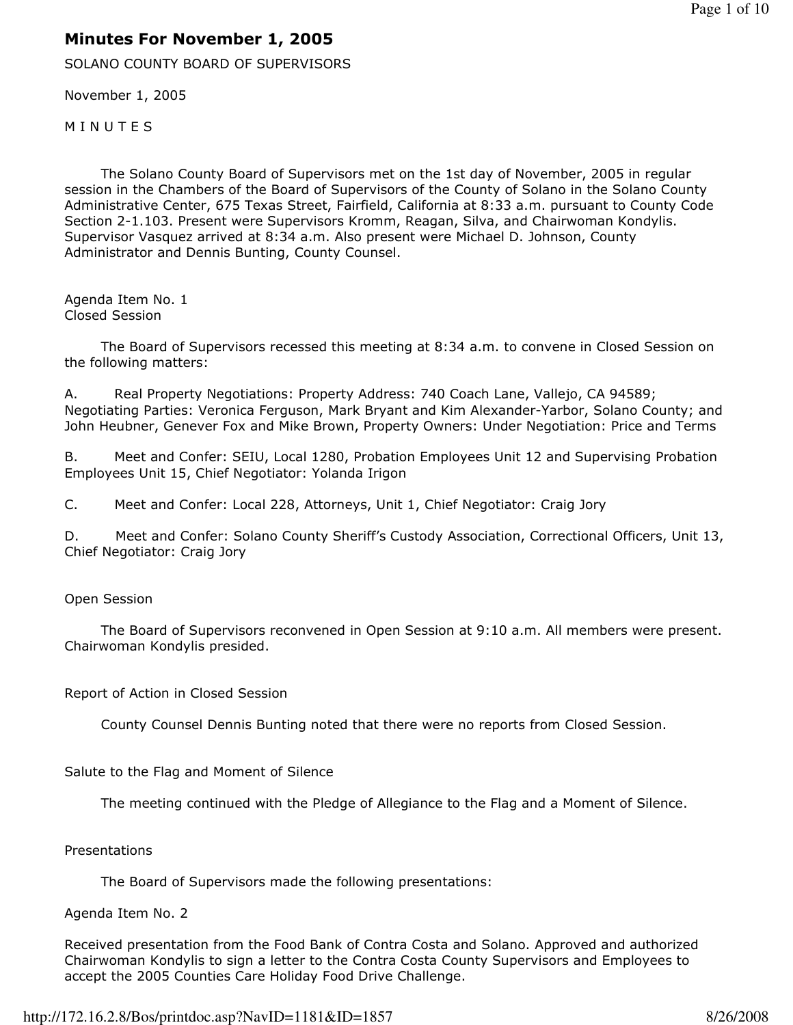# Minutes For November 1, 2005

SOLANO COUNTY BOARD OF SUPERVISORS

November 1, 2005

**MINUTES** 

 The Solano County Board of Supervisors met on the 1st day of November, 2005 in regular session in the Chambers of the Board of Supervisors of the County of Solano in the Solano County Administrative Center, 675 Texas Street, Fairfield, California at 8:33 a.m. pursuant to County Code Section 2-1.103. Present were Supervisors Kromm, Reagan, Silva, and Chairwoman Kondylis. Supervisor Vasquez arrived at 8:34 a.m. Also present were Michael D. Johnson, County Administrator and Dennis Bunting, County Counsel.

Agenda Item No. 1 Closed Session

 The Board of Supervisors recessed this meeting at 8:34 a.m. to convene in Closed Session on the following matters:

A. Real Property Negotiations: Property Address: 740 Coach Lane, Vallejo, CA 94589; Negotiating Parties: Veronica Ferguson, Mark Bryant and Kim Alexander-Yarbor, Solano County; and John Heubner, Genever Fox and Mike Brown, Property Owners: Under Negotiation: Price and Terms

B. Meet and Confer: SEIU, Local 1280, Probation Employees Unit 12 and Supervising Probation Employees Unit 15, Chief Negotiator: Yolanda Irigon

C. Meet and Confer: Local 228, Attorneys, Unit 1, Chief Negotiator: Craig Jory

D. Meet and Confer: Solano County Sheriff's Custody Association, Correctional Officers, Unit 13, Chief Negotiator: Craig Jory

#### Open Session

 The Board of Supervisors reconvened in Open Session at 9:10 a.m. All members were present. Chairwoman Kondylis presided.

#### Report of Action in Closed Session

County Counsel Dennis Bunting noted that there were no reports from Closed Session.

Salute to the Flag and Moment of Silence

The meeting continued with the Pledge of Allegiance to the Flag and a Moment of Silence.

#### **Presentations**

The Board of Supervisors made the following presentations:

#### Agenda Item No. 2

Received presentation from the Food Bank of Contra Costa and Solano. Approved and authorized Chairwoman Kondylis to sign a letter to the Contra Costa County Supervisors and Employees to accept the 2005 Counties Care Holiday Food Drive Challenge.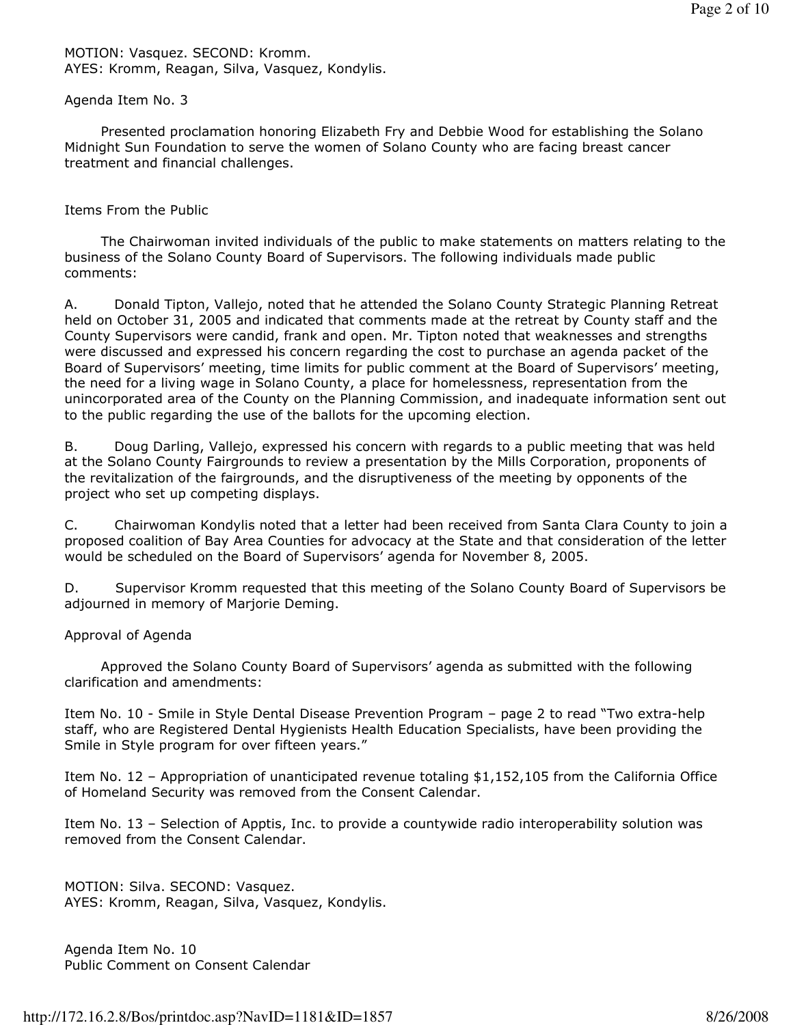MOTION: Vasquez. SECOND: Kromm. AYES: Kromm, Reagan, Silva, Vasquez, Kondylis.

#### Agenda Item No. 3

 Presented proclamation honoring Elizabeth Fry and Debbie Wood for establishing the Solano Midnight Sun Foundation to serve the women of Solano County who are facing breast cancer treatment and financial challenges.

### Items From the Public

 The Chairwoman invited individuals of the public to make statements on matters relating to the business of the Solano County Board of Supervisors. The following individuals made public comments:

A. Donald Tipton, Vallejo, noted that he attended the Solano County Strategic Planning Retreat held on October 31, 2005 and indicated that comments made at the retreat by County staff and the County Supervisors were candid, frank and open. Mr. Tipton noted that weaknesses and strengths were discussed and expressed his concern regarding the cost to purchase an agenda packet of the Board of Supervisors' meeting, time limits for public comment at the Board of Supervisors' meeting, the need for a living wage in Solano County, a place for homelessness, representation from the unincorporated area of the County on the Planning Commission, and inadequate information sent out to the public regarding the use of the ballots for the upcoming election.

B. Doug Darling, Vallejo, expressed his concern with regards to a public meeting that was held at the Solano County Fairgrounds to review a presentation by the Mills Corporation, proponents of the revitalization of the fairgrounds, and the disruptiveness of the meeting by opponents of the project who set up competing displays.

C. Chairwoman Kondylis noted that a letter had been received from Santa Clara County to join a proposed coalition of Bay Area Counties for advocacy at the State and that consideration of the letter would be scheduled on the Board of Supervisors' agenda for November 8, 2005.

D. Supervisor Kromm requested that this meeting of the Solano County Board of Supervisors be adjourned in memory of Marjorie Deming.

### Approval of Agenda

 Approved the Solano County Board of Supervisors' agenda as submitted with the following clarification and amendments:

Item No. 10 - Smile in Style Dental Disease Prevention Program – page 2 to read "Two extra-help staff, who are Registered Dental Hygienists Health Education Specialists, have been providing the Smile in Style program for over fifteen years."

Item No. 12 – Appropriation of unanticipated revenue totaling \$1,152,105 from the California Office of Homeland Security was removed from the Consent Calendar.

Item No. 13 – Selection of Apptis, Inc. to provide a countywide radio interoperability solution was removed from the Consent Calendar.

MOTION: Silva. SECOND: Vasquez. AYES: Kromm, Reagan, Silva, Vasquez, Kondylis.

Agenda Item No. 10 Public Comment on Consent Calendar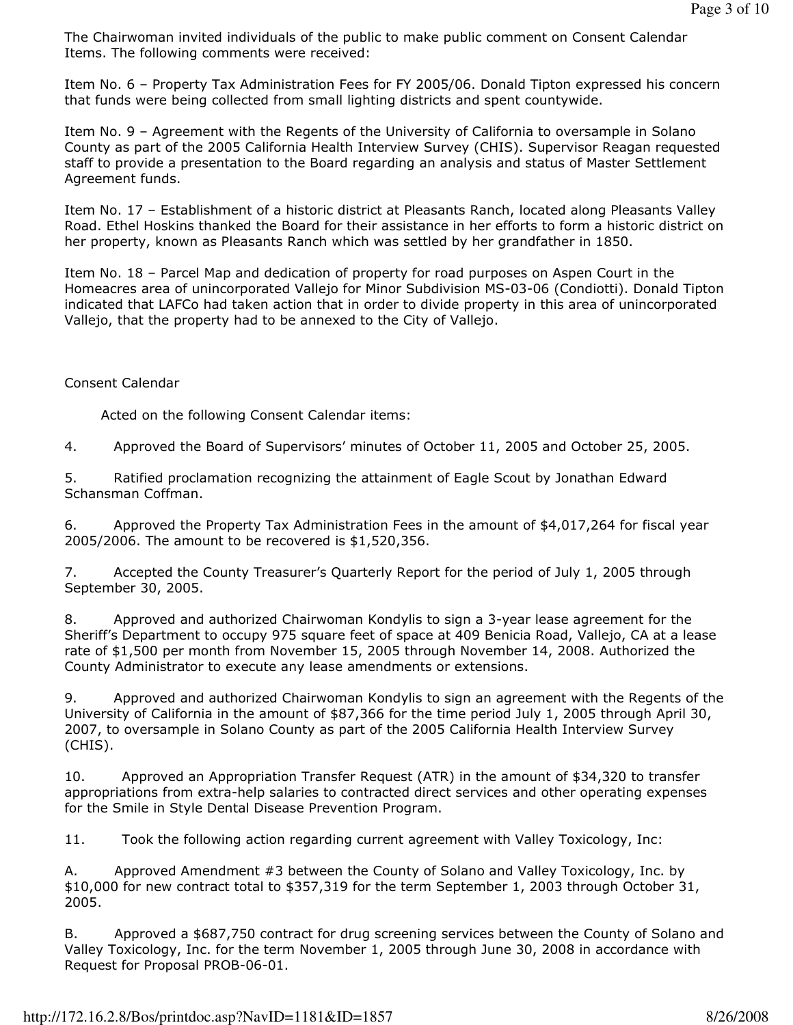The Chairwoman invited individuals of the public to make public comment on Consent Calendar Items. The following comments were received:

Item No. 6 – Property Tax Administration Fees for FY 2005/06. Donald Tipton expressed his concern that funds were being collected from small lighting districts and spent countywide.

Item No. 9 – Agreement with the Regents of the University of California to oversample in Solano County as part of the 2005 California Health Interview Survey (CHIS). Supervisor Reagan requested staff to provide a presentation to the Board regarding an analysis and status of Master Settlement Agreement funds.

Item No. 17 – Establishment of a historic district at Pleasants Ranch, located along Pleasants Valley Road. Ethel Hoskins thanked the Board for their assistance in her efforts to form a historic district on her property, known as Pleasants Ranch which was settled by her grandfather in 1850.

Item No. 18 – Parcel Map and dedication of property for road purposes on Aspen Court in the Homeacres area of unincorporated Vallejo for Minor Subdivision MS-03-06 (Condiotti). Donald Tipton indicated that LAFCo had taken action that in order to divide property in this area of unincorporated Vallejo, that the property had to be annexed to the City of Vallejo.

### Consent Calendar

Acted on the following Consent Calendar items:

4. Approved the Board of Supervisors' minutes of October 11, 2005 and October 25, 2005.

5. Ratified proclamation recognizing the attainment of Eagle Scout by Jonathan Edward Schansman Coffman.

6. Approved the Property Tax Administration Fees in the amount of \$4,017,264 for fiscal year 2005/2006. The amount to be recovered is \$1,520,356.

7. Accepted the County Treasurer's Quarterly Report for the period of July 1, 2005 through September 30, 2005.

8. Approved and authorized Chairwoman Kondylis to sign a 3-year lease agreement for the Sheriff's Department to occupy 975 square feet of space at 409 Benicia Road, Vallejo, CA at a lease rate of \$1,500 per month from November 15, 2005 through November 14, 2008. Authorized the County Administrator to execute any lease amendments or extensions.

9. Approved and authorized Chairwoman Kondylis to sign an agreement with the Regents of the University of California in the amount of \$87,366 for the time period July 1, 2005 through April 30, 2007, to oversample in Solano County as part of the 2005 California Health Interview Survey (CHIS).

10. Approved an Appropriation Transfer Request (ATR) in the amount of \$34,320 to transfer appropriations from extra-help salaries to contracted direct services and other operating expenses for the Smile in Style Dental Disease Prevention Program.

11. Took the following action regarding current agreement with Valley Toxicology, Inc:

A. Approved Amendment #3 between the County of Solano and Valley Toxicology, Inc. by \$10,000 for new contract total to \$357,319 for the term September 1, 2003 through October 31, 2005.

B. Approved a \$687,750 contract for drug screening services between the County of Solano and Valley Toxicology, Inc. for the term November 1, 2005 through June 30, 2008 in accordance with Request for Proposal PROB-06-01.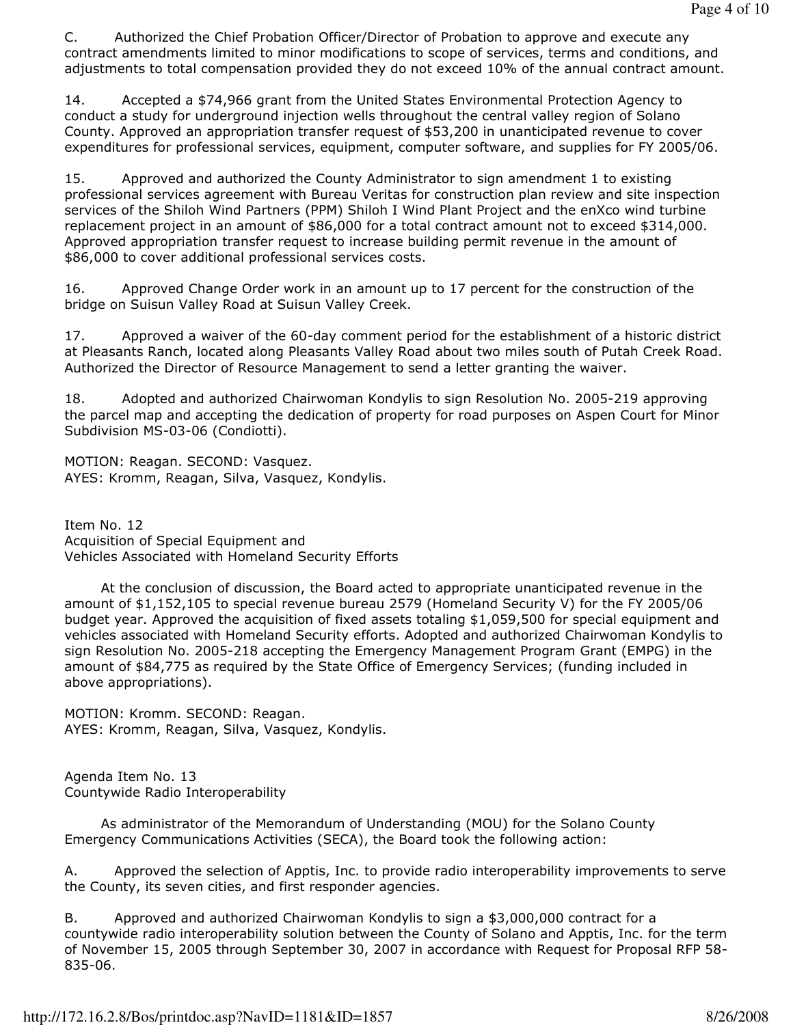C. Authorized the Chief Probation Officer/Director of Probation to approve and execute any contract amendments limited to minor modifications to scope of services, terms and conditions, and adjustments to total compensation provided they do not exceed 10% of the annual contract amount.

14. Accepted a \$74,966 grant from the United States Environmental Protection Agency to conduct a study for underground injection wells throughout the central valley region of Solano County. Approved an appropriation transfer request of \$53,200 in unanticipated revenue to cover expenditures for professional services, equipment, computer software, and supplies for FY 2005/06.

15. Approved and authorized the County Administrator to sign amendment 1 to existing professional services agreement with Bureau Veritas for construction plan review and site inspection services of the Shiloh Wind Partners (PPM) Shiloh I Wind Plant Project and the enXco wind turbine replacement project in an amount of \$86,000 for a total contract amount not to exceed \$314,000. Approved appropriation transfer request to increase building permit revenue in the amount of \$86,000 to cover additional professional services costs.

16. Approved Change Order work in an amount up to 17 percent for the construction of the bridge on Suisun Valley Road at Suisun Valley Creek.

17. Approved a waiver of the 60-day comment period for the establishment of a historic district at Pleasants Ranch, located along Pleasants Valley Road about two miles south of Putah Creek Road. Authorized the Director of Resource Management to send a letter granting the waiver.

18. Adopted and authorized Chairwoman Kondylis to sign Resolution No. 2005-219 approving the parcel map and accepting the dedication of property for road purposes on Aspen Court for Minor Subdivision MS-03-06 (Condiotti).

MOTION: Reagan. SECOND: Vasquez. AYES: Kromm, Reagan, Silva, Vasquez, Kondylis.

Item No. 12 Acquisition of Special Equipment and Vehicles Associated with Homeland Security Efforts

 At the conclusion of discussion, the Board acted to appropriate unanticipated revenue in the amount of \$1,152,105 to special revenue bureau 2579 (Homeland Security V) for the FY 2005/06 budget year. Approved the acquisition of fixed assets totaling \$1,059,500 for special equipment and vehicles associated with Homeland Security efforts. Adopted and authorized Chairwoman Kondylis to sign Resolution No. 2005-218 accepting the Emergency Management Program Grant (EMPG) in the amount of \$84,775 as required by the State Office of Emergency Services; (funding included in above appropriations).

MOTION: Kromm. SECOND: Reagan. AYES: Kromm, Reagan, Silva, Vasquez, Kondylis.

Agenda Item No. 13 Countywide Radio Interoperability

 As administrator of the Memorandum of Understanding (MOU) for the Solano County Emergency Communications Activities (SECA), the Board took the following action:

A. Approved the selection of Apptis, Inc. to provide radio interoperability improvements to serve the County, its seven cities, and first responder agencies.

B. Approved and authorized Chairwoman Kondylis to sign a \$3,000,000 contract for a countywide radio interoperability solution between the County of Solano and Apptis, Inc. for the term of November 15, 2005 through September 30, 2007 in accordance with Request for Proposal RFP 58- 835-06.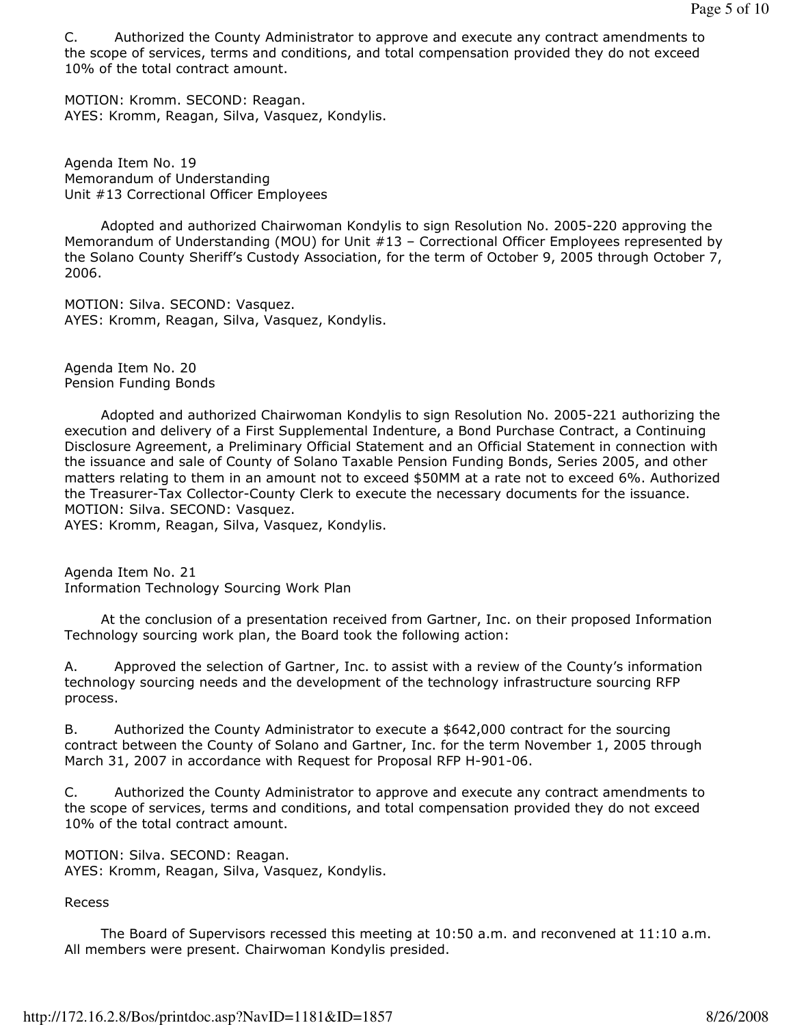C. Authorized the County Administrator to approve and execute any contract amendments to the scope of services, terms and conditions, and total compensation provided they do not exceed 10% of the total contract amount.

MOTION: Kromm. SECOND: Reagan. AYES: Kromm, Reagan, Silva, Vasquez, Kondylis.

Agenda Item No. 19 Memorandum of Understanding Unit #13 Correctional Officer Employees

 Adopted and authorized Chairwoman Kondylis to sign Resolution No. 2005-220 approving the Memorandum of Understanding (MOU) for Unit #13 – Correctional Officer Employees represented by the Solano County Sheriff's Custody Association, for the term of October 9, 2005 through October 7, 2006.

MOTION: Silva. SECOND: Vasquez. AYES: Kromm, Reagan, Silva, Vasquez, Kondylis.

Agenda Item No. 20 Pension Funding Bonds

 Adopted and authorized Chairwoman Kondylis to sign Resolution No. 2005-221 authorizing the execution and delivery of a First Supplemental Indenture, a Bond Purchase Contract, a Continuing Disclosure Agreement, a Preliminary Official Statement and an Official Statement in connection with the issuance and sale of County of Solano Taxable Pension Funding Bonds, Series 2005, and other matters relating to them in an amount not to exceed \$50MM at a rate not to exceed 6%. Authorized the Treasurer-Tax Collector-County Clerk to execute the necessary documents for the issuance. MOTION: Silva. SECOND: Vasquez.

AYES: Kromm, Reagan, Silva, Vasquez, Kondylis.

Agenda Item No. 21 Information Technology Sourcing Work Plan

 At the conclusion of a presentation received from Gartner, Inc. on their proposed Information Technology sourcing work plan, the Board took the following action:

A. Approved the selection of Gartner, Inc. to assist with a review of the County's information technology sourcing needs and the development of the technology infrastructure sourcing RFP process.

B. Authorized the County Administrator to execute a \$642,000 contract for the sourcing contract between the County of Solano and Gartner, Inc. for the term November 1, 2005 through March 31, 2007 in accordance with Request for Proposal RFP H-901-06.

C. Authorized the County Administrator to approve and execute any contract amendments to the scope of services, terms and conditions, and total compensation provided they do not exceed 10% of the total contract amount.

MOTION: Silva. SECOND: Reagan. AYES: Kromm, Reagan, Silva, Vasquez, Kondylis.

### Recess

 The Board of Supervisors recessed this meeting at 10:50 a.m. and reconvened at 11:10 a.m. All members were present. Chairwoman Kondylis presided.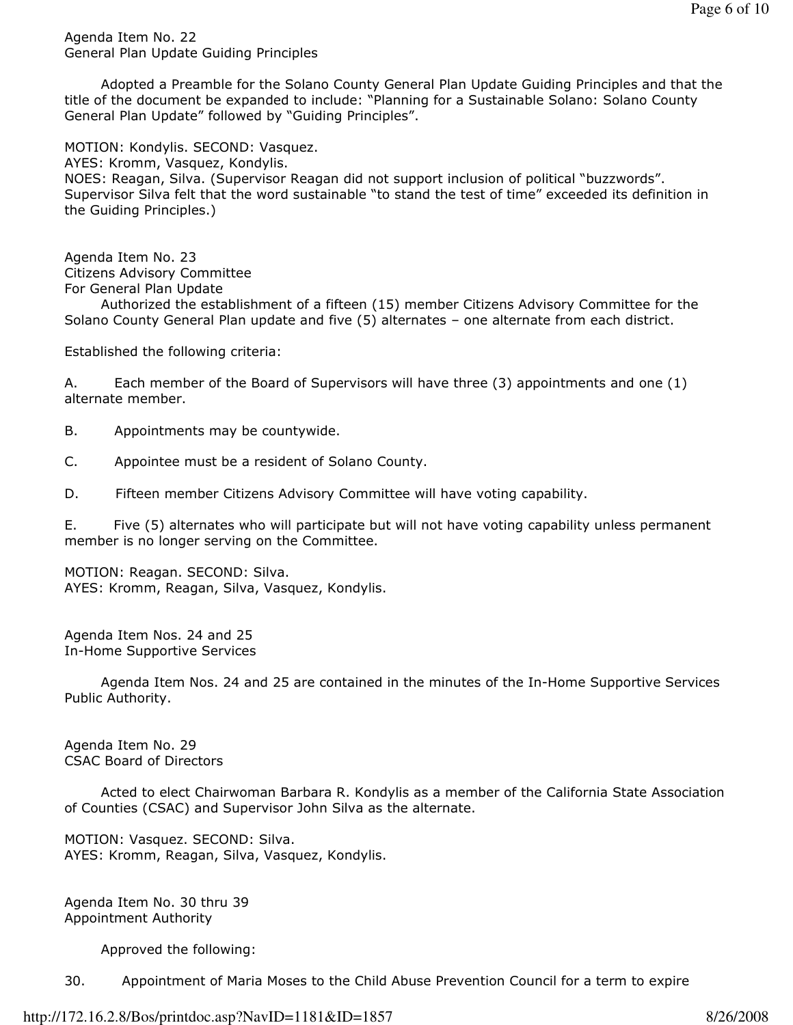Agenda Item No. 22 General Plan Update Guiding Principles

 Adopted a Preamble for the Solano County General Plan Update Guiding Principles and that the title of the document be expanded to include: "Planning for a Sustainable Solano: Solano County General Plan Update" followed by "Guiding Principles".

MOTION: Kondylis. SECOND: Vasquez.

AYES: Kromm, Vasquez, Kondylis.

NOES: Reagan, Silva. (Supervisor Reagan did not support inclusion of political "buzzwords". Supervisor Silva felt that the word sustainable "to stand the test of time" exceeded its definition in the Guiding Principles.)

Agenda Item No. 23 Citizens Advisory Committee For General Plan Update

 Authorized the establishment of a fifteen (15) member Citizens Advisory Committee for the Solano County General Plan update and five (5) alternates – one alternate from each district.

Established the following criteria:

A. Each member of the Board of Supervisors will have three (3) appointments and one (1) alternate member.

B. Appointments may be countywide.

C. Appointee must be a resident of Solano County.

D. Fifteen member Citizens Advisory Committee will have voting capability.

E. Five (5) alternates who will participate but will not have voting capability unless permanent member is no longer serving on the Committee.

MOTION: Reagan. SECOND: Silva. AYES: Kromm, Reagan, Silva, Vasquez, Kondylis.

Agenda Item Nos. 24 and 25 In-Home Supportive Services

 Agenda Item Nos. 24 and 25 are contained in the minutes of the In-Home Supportive Services Public Authority.

Agenda Item No. 29 CSAC Board of Directors

 Acted to elect Chairwoman Barbara R. Kondylis as a member of the California State Association of Counties (CSAC) and Supervisor John Silva as the alternate.

MOTION: Vasquez. SECOND: Silva. AYES: Kromm, Reagan, Silva, Vasquez, Kondylis.

Agenda Item No. 30 thru 39 Appointment Authority

Approved the following:

30. Appointment of Maria Moses to the Child Abuse Prevention Council for a term to expire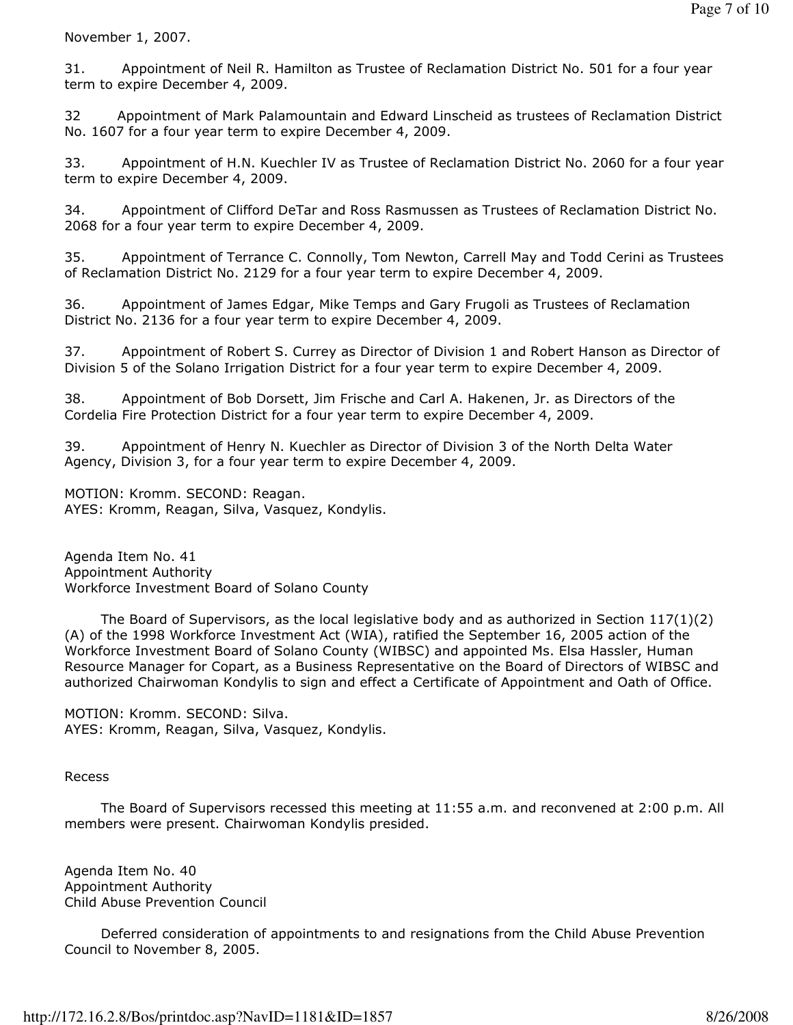November 1, 2007.

31. Appointment of Neil R. Hamilton as Trustee of Reclamation District No. 501 for a four year term to expire December 4, 2009.

32 Appointment of Mark Palamountain and Edward Linscheid as trustees of Reclamation District No. 1607 for a four year term to expire December 4, 2009.

33. Appointment of H.N. Kuechler IV as Trustee of Reclamation District No. 2060 for a four year term to expire December 4, 2009.

34. Appointment of Clifford DeTar and Ross Rasmussen as Trustees of Reclamation District No. 2068 for a four year term to expire December 4, 2009.

35. Appointment of Terrance C. Connolly, Tom Newton, Carrell May and Todd Cerini as Trustees of Reclamation District No. 2129 for a four year term to expire December 4, 2009.

36. Appointment of James Edgar, Mike Temps and Gary Frugoli as Trustees of Reclamation District No. 2136 for a four year term to expire December 4, 2009.

37. Appointment of Robert S. Currey as Director of Division 1 and Robert Hanson as Director of Division 5 of the Solano Irrigation District for a four year term to expire December 4, 2009.

38. Appointment of Bob Dorsett, Jim Frische and Carl A. Hakenen, Jr. as Directors of the Cordelia Fire Protection District for a four year term to expire December 4, 2009.

39. Appointment of Henry N. Kuechler as Director of Division 3 of the North Delta Water Agency, Division 3, for a four year term to expire December 4, 2009.

MOTION: Kromm. SECOND: Reagan. AYES: Kromm, Reagan, Silva, Vasquez, Kondylis.

Agenda Item No. 41 Appointment Authority Workforce Investment Board of Solano County

 The Board of Supervisors, as the local legislative body and as authorized in Section 117(1)(2) (A) of the 1998 Workforce Investment Act (WIA), ratified the September 16, 2005 action of the Workforce Investment Board of Solano County (WIBSC) and appointed Ms. Elsa Hassler, Human Resource Manager for Copart, as a Business Representative on the Board of Directors of WIBSC and authorized Chairwoman Kondylis to sign and effect a Certificate of Appointment and Oath of Office.

MOTION: Kromm. SECOND: Silva. AYES: Kromm, Reagan, Silva, Vasquez, Kondylis.

### Recess

 The Board of Supervisors recessed this meeting at 11:55 a.m. and reconvened at 2:00 p.m. All members were present. Chairwoman Kondylis presided.

Agenda Item No. 40 Appointment Authority Child Abuse Prevention Council

 Deferred consideration of appointments to and resignations from the Child Abuse Prevention Council to November 8, 2005.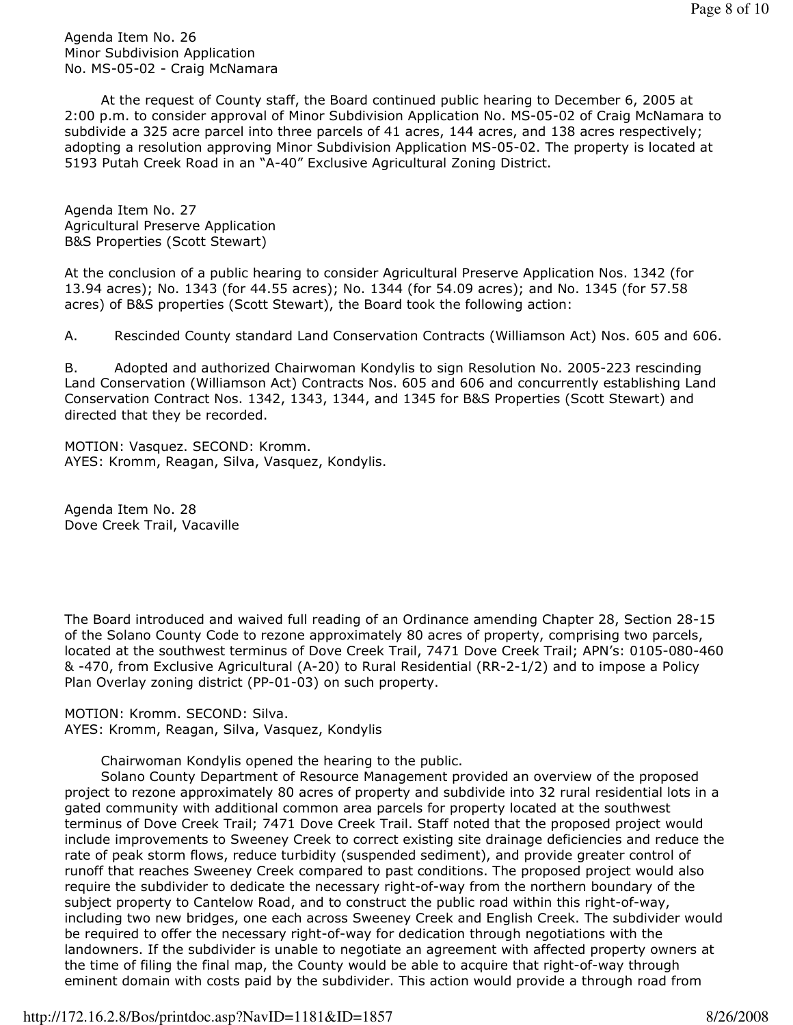Agenda Item No. 26 Minor Subdivision Application No. MS-05-02 - Craig McNamara

 At the request of County staff, the Board continued public hearing to December 6, 2005 at 2:00 p.m. to consider approval of Minor Subdivision Application No. MS-05-02 of Craig McNamara to subdivide a 325 acre parcel into three parcels of 41 acres, 144 acres, and 138 acres respectively; adopting a resolution approving Minor Subdivision Application MS-05-02. The property is located at 5193 Putah Creek Road in an "A-40" Exclusive Agricultural Zoning District.

Agenda Item No. 27 Agricultural Preserve Application B&S Properties (Scott Stewart)

At the conclusion of a public hearing to consider Agricultural Preserve Application Nos. 1342 (for 13.94 acres); No. 1343 (for 44.55 acres); No. 1344 (for 54.09 acres); and No. 1345 (for 57.58 acres) of B&S properties (Scott Stewart), the Board took the following action:

A. Rescinded County standard Land Conservation Contracts (Williamson Act) Nos. 605 and 606.

B. Adopted and authorized Chairwoman Kondylis to sign Resolution No. 2005-223 rescinding Land Conservation (Williamson Act) Contracts Nos. 605 and 606 and concurrently establishing Land Conservation Contract Nos. 1342, 1343, 1344, and 1345 for B&S Properties (Scott Stewart) and directed that they be recorded.

MOTION: Vasquez. SECOND: Kromm. AYES: Kromm, Reagan, Silva, Vasquez, Kondylis.

Agenda Item No. 28 Dove Creek Trail, Vacaville

The Board introduced and waived full reading of an Ordinance amending Chapter 28, Section 28-15 of the Solano County Code to rezone approximately 80 acres of property, comprising two parcels, located at the southwest terminus of Dove Creek Trail, 7471 Dove Creek Trail; APN's: 0105-080-460 & -470, from Exclusive Agricultural (A-20) to Rural Residential (RR-2-1/2) and to impose a Policy Plan Overlay zoning district (PP-01-03) on such property.

MOTION: Kromm. SECOND: Silva. AYES: Kromm, Reagan, Silva, Vasquez, Kondylis

Chairwoman Kondylis opened the hearing to the public.

 Solano County Department of Resource Management provided an overview of the proposed project to rezone approximately 80 acres of property and subdivide into 32 rural residential lots in a gated community with additional common area parcels for property located at the southwest terminus of Dove Creek Trail; 7471 Dove Creek Trail. Staff noted that the proposed project would include improvements to Sweeney Creek to correct existing site drainage deficiencies and reduce the rate of peak storm flows, reduce turbidity (suspended sediment), and provide greater control of runoff that reaches Sweeney Creek compared to past conditions. The proposed project would also require the subdivider to dedicate the necessary right-of-way from the northern boundary of the subject property to Cantelow Road, and to construct the public road within this right-of-way, including two new bridges, one each across Sweeney Creek and English Creek. The subdivider would be required to offer the necessary right-of-way for dedication through negotiations with the landowners. If the subdivider is unable to negotiate an agreement with affected property owners at the time of filing the final map, the County would be able to acquire that right-of-way through eminent domain with costs paid by the subdivider. This action would provide a through road from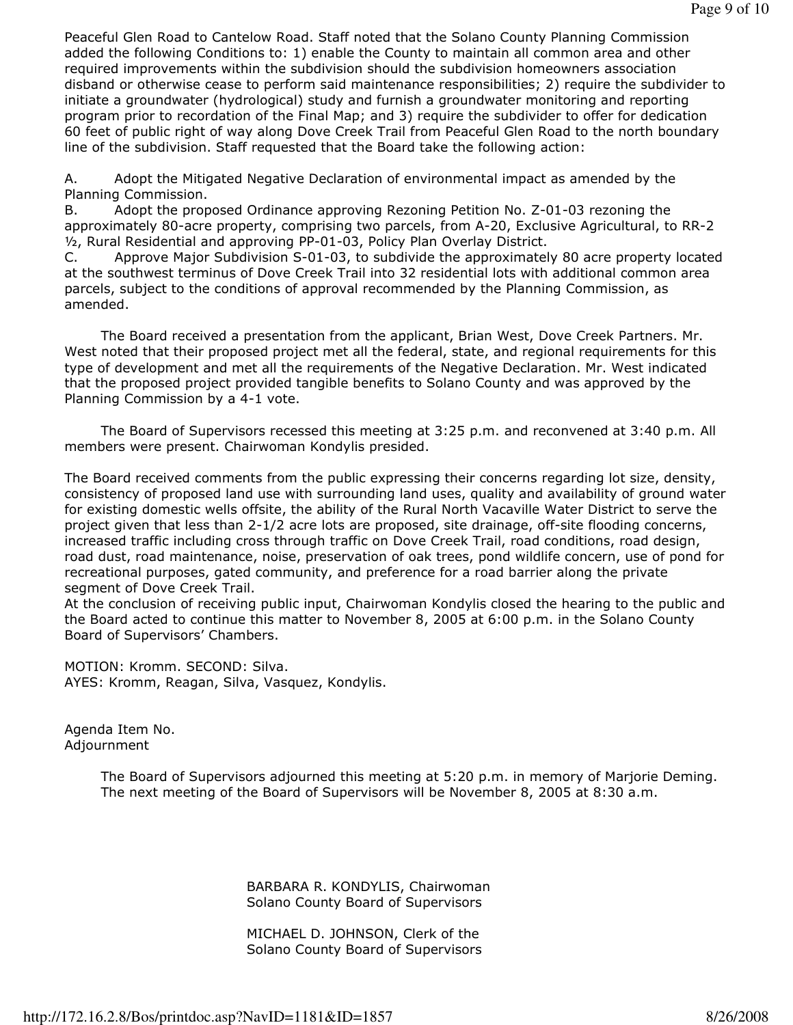Peaceful Glen Road to Cantelow Road. Staff noted that the Solano County Planning Commission added the following Conditions to: 1) enable the County to maintain all common area and other required improvements within the subdivision should the subdivision homeowners association disband or otherwise cease to perform said maintenance responsibilities; 2) require the subdivider to initiate a groundwater (hydrological) study and furnish a groundwater monitoring and reporting program prior to recordation of the Final Map; and 3) require the subdivider to offer for dedication 60 feet of public right of way along Dove Creek Trail from Peaceful Glen Road to the north boundary line of the subdivision. Staff requested that the Board take the following action:

A. Adopt the Mitigated Negative Declaration of environmental impact as amended by the Planning Commission.

B. Adopt the proposed Ordinance approving Rezoning Petition No. Z-01-03 rezoning the approximately 80-acre property, comprising two parcels, from A-20, Exclusive Agricultural, to RR-2 ½, Rural Residential and approving PP-01-03, Policy Plan Overlay District.

C. Approve Major Subdivision S-01-03, to subdivide the approximately 80 acre property located at the southwest terminus of Dove Creek Trail into 32 residential lots with additional common area parcels, subject to the conditions of approval recommended by the Planning Commission, as amended.

 The Board received a presentation from the applicant, Brian West, Dove Creek Partners. Mr. West noted that their proposed project met all the federal, state, and regional requirements for this type of development and met all the requirements of the Negative Declaration. Mr. West indicated that the proposed project provided tangible benefits to Solano County and was approved by the Planning Commission by a 4-1 vote.

 The Board of Supervisors recessed this meeting at 3:25 p.m. and reconvened at 3:40 p.m. All members were present. Chairwoman Kondylis presided.

The Board received comments from the public expressing their concerns regarding lot size, density, consistency of proposed land use with surrounding land uses, quality and availability of ground water for existing domestic wells offsite, the ability of the Rural North Vacaville Water District to serve the project given that less than 2-1/2 acre lots are proposed, site drainage, off-site flooding concerns, increased traffic including cross through traffic on Dove Creek Trail, road conditions, road design, road dust, road maintenance, noise, preservation of oak trees, pond wildlife concern, use of pond for recreational purposes, gated community, and preference for a road barrier along the private segment of Dove Creek Trail.

At the conclusion of receiving public input, Chairwoman Kondylis closed the hearing to the public and the Board acted to continue this matter to November 8, 2005 at 6:00 p.m. in the Solano County Board of Supervisors' Chambers.

MOTION: Kromm. SECOND: Silva. AYES: Kromm, Reagan, Silva, Vasquez, Kondylis.

Agenda Item No. Adjournment

> The Board of Supervisors adjourned this meeting at 5:20 p.m. in memory of Marjorie Deming. The next meeting of the Board of Supervisors will be November 8, 2005 at 8:30 a.m.

> > BARBARA R. KONDYLIS, Chairwoman Solano County Board of Supervisors

 MICHAEL D. JOHNSON, Clerk of the Solano County Board of Supervisors